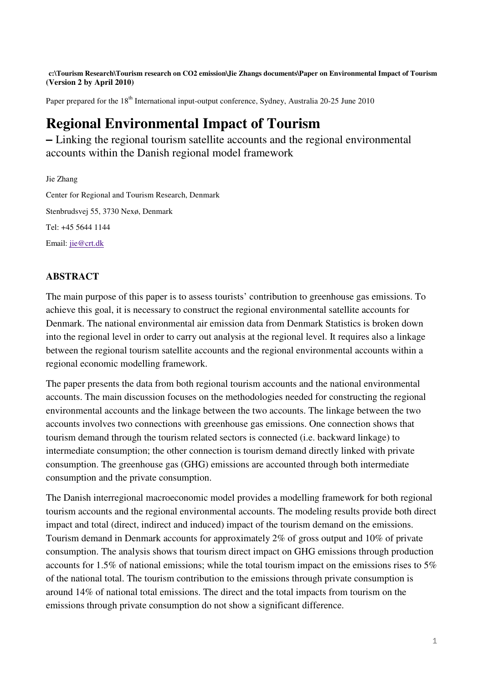**c:\Tourism Research\Tourism research on CO2 emission\Jie Zhangs documents\Paper on Environmental Impact of Tourism (Version 2 by April 2010)** 

Paper prepared for the 18<sup>th</sup> International input-output conference, Sydney, Australia 20-25 June 2010

# **Regional Environmental Impact of Tourism**

**–** Linking the regional tourism satellite accounts and the regional environmental accounts within the Danish regional model framework

Jie Zhang Center for Regional and Tourism Research, Denmark Stenbrudsvej 55, 3730 Nexø, Denmark Tel: +45 5644 1144 Email: jie@crt.dk

# **ABSTRACT**

The main purpose of this paper is to assess tourists' contribution to greenhouse gas emissions. To achieve this goal, it is necessary to construct the regional environmental satellite accounts for Denmark. The national environmental air emission data from Denmark Statistics is broken down into the regional level in order to carry out analysis at the regional level. It requires also a linkage between the regional tourism satellite accounts and the regional environmental accounts within a regional economic modelling framework.

The paper presents the data from both regional tourism accounts and the national environmental accounts. The main discussion focuses on the methodologies needed for constructing the regional environmental accounts and the linkage between the two accounts. The linkage between the two accounts involves two connections with greenhouse gas emissions. One connection shows that tourism demand through the tourism related sectors is connected (i.e. backward linkage) to intermediate consumption; the other connection is tourism demand directly linked with private consumption. The greenhouse gas (GHG) emissions are accounted through both intermediate consumption and the private consumption.

The Danish interregional macroeconomic model provides a modelling framework for both regional tourism accounts and the regional environmental accounts. The modeling results provide both direct impact and total (direct, indirect and induced) impact of the tourism demand on the emissions. Tourism demand in Denmark accounts for approximately 2% of gross output and 10% of private consumption. The analysis shows that tourism direct impact on GHG emissions through production accounts for 1.5% of national emissions; while the total tourism impact on the emissions rises to 5% of the national total. The tourism contribution to the emissions through private consumption is around 14% of national total emissions. The direct and the total impacts from tourism on the emissions through private consumption do not show a significant difference.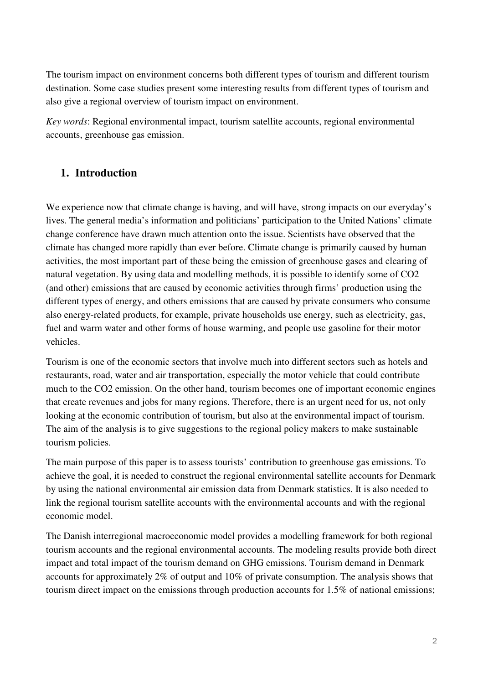The tourism impact on environment concerns both different types of tourism and different tourism destination. Some case studies present some interesting results from different types of tourism and also give a regional overview of tourism impact on environment.

*Key words*: Regional environmental impact, tourism satellite accounts, regional environmental accounts, greenhouse gas emission.

# **1. Introduction**

We experience now that climate change is having, and will have, strong impacts on our everyday's lives. The general media's information and politicians' participation to the United Nations' climate change conference have drawn much attention onto the issue. Scientists have observed that the climate has changed more rapidly than ever before. Climate change is primarily caused by human activities, the most important part of these being the emission of greenhouse gases and clearing of natural vegetation. By using data and modelling methods, it is possible to identify some of CO2 (and other) emissions that are caused by economic activities through firms' production using the different types of energy, and others emissions that are caused by private consumers who consume also energy-related products, for example, private households use energy, such as electricity, gas, fuel and warm water and other forms of house warming, and people use gasoline for their motor vehicles.

Tourism is one of the economic sectors that involve much into different sectors such as hotels and restaurants, road, water and air transportation, especially the motor vehicle that could contribute much to the CO2 emission. On the other hand, tourism becomes one of important economic engines that create revenues and jobs for many regions. Therefore, there is an urgent need for us, not only looking at the economic contribution of tourism, but also at the environmental impact of tourism. The aim of the analysis is to give suggestions to the regional policy makers to make sustainable tourism policies.

The main purpose of this paper is to assess tourists' contribution to greenhouse gas emissions. To achieve the goal, it is needed to construct the regional environmental satellite accounts for Denmark by using the national environmental air emission data from Denmark statistics. It is also needed to link the regional tourism satellite accounts with the environmental accounts and with the regional economic model.

The Danish interregional macroeconomic model provides a modelling framework for both regional tourism accounts and the regional environmental accounts. The modeling results provide both direct impact and total impact of the tourism demand on GHG emissions. Tourism demand in Denmark accounts for approximately 2% of output and 10% of private consumption. The analysis shows that tourism direct impact on the emissions through production accounts for 1.5% of national emissions;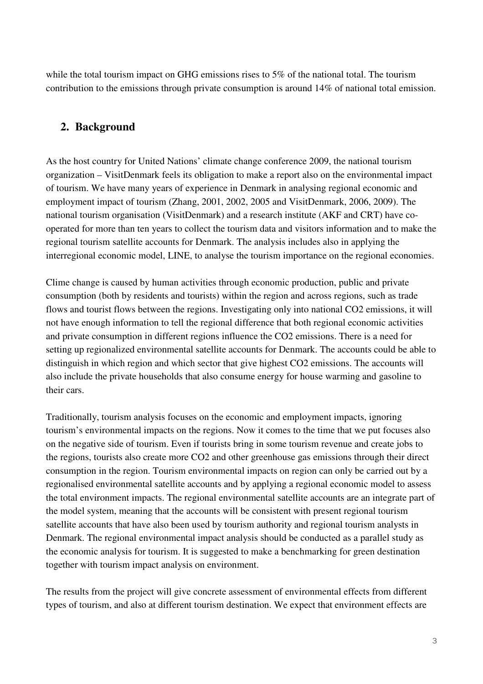while the total tourism impact on GHG emissions rises to 5% of the national total. The tourism contribution to the emissions through private consumption is around 14% of national total emission.

# **2. Background**

As the host country for United Nations' climate change conference 2009, the national tourism organization – VisitDenmark feels its obligation to make a report also on the environmental impact of tourism. We have many years of experience in Denmark in analysing regional economic and employment impact of tourism (Zhang, 2001, 2002, 2005 and VisitDenmark, 2006, 2009). The national tourism organisation (VisitDenmark) and a research institute (AKF and CRT) have cooperated for more than ten years to collect the tourism data and visitors information and to make the regional tourism satellite accounts for Denmark. The analysis includes also in applying the interregional economic model, LINE, to analyse the tourism importance on the regional economies.

Clime change is caused by human activities through economic production, public and private consumption (both by residents and tourists) within the region and across regions, such as trade flows and tourist flows between the regions. Investigating only into national CO2 emissions, it will not have enough information to tell the regional difference that both regional economic activities and private consumption in different regions influence the CO2 emissions. There is a need for setting up regionalized environmental satellite accounts for Denmark. The accounts could be able to distinguish in which region and which sector that give highest CO2 emissions. The accounts will also include the private households that also consume energy for house warming and gasoline to their cars.

Traditionally, tourism analysis focuses on the economic and employment impacts, ignoring tourism's environmental impacts on the regions. Now it comes to the time that we put focuses also on the negative side of tourism. Even if tourists bring in some tourism revenue and create jobs to the regions, tourists also create more CO2 and other greenhouse gas emissions through their direct consumption in the region. Tourism environmental impacts on region can only be carried out by a regionalised environmental satellite accounts and by applying a regional economic model to assess the total environment impacts. The regional environmental satellite accounts are an integrate part of the model system, meaning that the accounts will be consistent with present regional tourism satellite accounts that have also been used by tourism authority and regional tourism analysts in Denmark. The regional environmental impact analysis should be conducted as a parallel study as the economic analysis for tourism. It is suggested to make a benchmarking for green destination together with tourism impact analysis on environment.

The results from the project will give concrete assessment of environmental effects from different types of tourism, and also at different tourism destination. We expect that environment effects are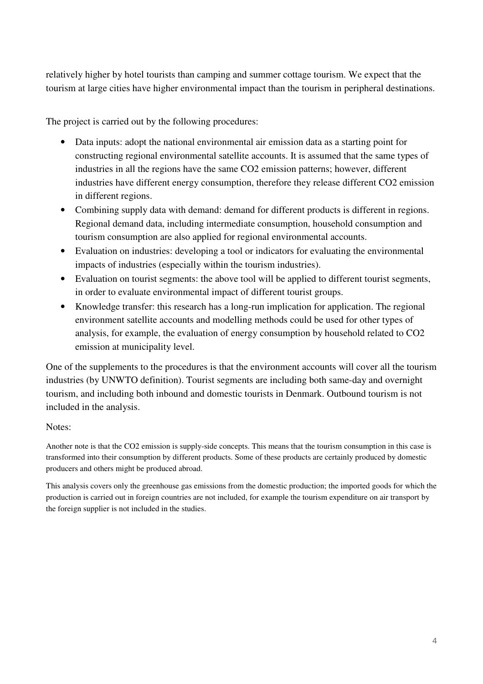relatively higher by hotel tourists than camping and summer cottage tourism. We expect that the tourism at large cities have higher environmental impact than the tourism in peripheral destinations.

The project is carried out by the following procedures:

- Data inputs: adopt the national environmental air emission data as a starting point for constructing regional environmental satellite accounts. It is assumed that the same types of industries in all the regions have the same CO2 emission patterns; however, different industries have different energy consumption, therefore they release different CO2 emission in different regions.
- Combining supply data with demand: demand for different products is different in regions. Regional demand data, including intermediate consumption, household consumption and tourism consumption are also applied for regional environmental accounts.
- Evaluation on industries: developing a tool or indicators for evaluating the environmental impacts of industries (especially within the tourism industries).
- Evaluation on tourist segments: the above tool will be applied to different tourist segments, in order to evaluate environmental impact of different tourist groups.
- Knowledge transfer: this research has a long-run implication for application. The regional environment satellite accounts and modelling methods could be used for other types of analysis, for example, the evaluation of energy consumption by household related to CO2 emission at municipality level.

One of the supplements to the procedures is that the environment accounts will cover all the tourism industries (by UNWTO definition). Tourist segments are including both same-day and overnight tourism, and including both inbound and domestic tourists in Denmark. Outbound tourism is not included in the analysis.

### Notes:

Another note is that the CO2 emission is supply-side concepts. This means that the tourism consumption in this case is transformed into their consumption by different products. Some of these products are certainly produced by domestic producers and others might be produced abroad.

This analysis covers only the greenhouse gas emissions from the domestic production; the imported goods for which the production is carried out in foreign countries are not included, for example the tourism expenditure on air transport by the foreign supplier is not included in the studies.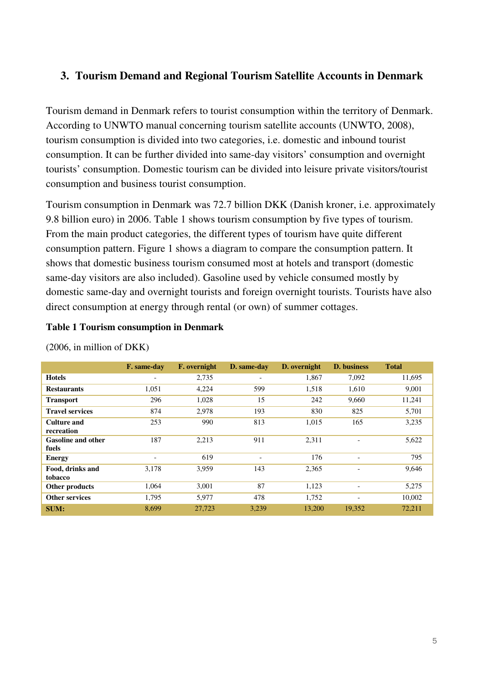# **3. Tourism Demand and Regional Tourism Satellite Accounts in Denmark**

Tourism demand in Denmark refers to tourist consumption within the territory of Denmark. According to UNWTO manual concerning tourism satellite accounts (UNWTO, 2008), tourism consumption is divided into two categories, i.e. domestic and inbound tourist consumption. It can be further divided into same-day visitors' consumption and overnight tourists' consumption. Domestic tourism can be divided into leisure private visitors/tourist consumption and business tourist consumption.

Tourism consumption in Denmark was 72.7 billion DKK (Danish kroner, i.e. approximately 9.8 billion euro) in 2006. Table 1 shows tourism consumption by five types of tourism. From the main product categories, the different types of tourism have quite different consumption pattern. Figure 1 shows a diagram to compare the consumption pattern. It shows that domestic business tourism consumed most at hotels and transport (domestic same-day visitors are also included). Gasoline used by vehicle consumed mostly by domestic same-day and overnight tourists and foreign overnight tourists. Tourists have also direct consumption at energy through rental (or own) of summer cottages.

### **Table 1 Tourism consumption in Denmark**

|                                    | F. same-day              | F. overnight | D. same-day              | D. overnight | D. business              | <b>Total</b> |
|------------------------------------|--------------------------|--------------|--------------------------|--------------|--------------------------|--------------|
| <b>Hotels</b>                      | $\overline{\phantom{a}}$ | 2,735        | $\overline{\phantom{a}}$ | 1,867        | 7,092                    | 11,695       |
| <b>Restaurants</b>                 | 1,051                    | 4,224        | 599                      | 1,518        | 1,610                    | 9,001        |
| <b>Transport</b>                   | 296                      | 1,028        | 15                       | 242          | 9,660                    | 11.241       |
| <b>Travel services</b>             | 874                      | 2,978        | 193                      | 830          | 825                      | 5,701        |
| Culture and<br>recreation          | 253                      | 990          | 813                      | 1,015        | 165                      | 3,235        |
| <b>Gasoline and other</b><br>fuels | 187                      | 2,213        | 911                      | 2,311        | $\overline{\phantom{a}}$ | 5,622        |
| <b>Energy</b>                      | ۰                        | 619          |                          | 176          | ٠                        | 795          |
| Food, drinks and<br>tobacco        | 3,178                    | 3,959        | 143                      | 2,365        | $\overline{\phantom{a}}$ | 9,646        |
| Other products                     | 1,064                    | 3,001        | 87                       | 1,123        | $\overline{\phantom{a}}$ | 5,275        |
| <b>Other services</b>              | 1,795                    | 5,977        | 478                      | 1,752        | $\overline{\phantom{a}}$ | 10,002       |
| <b>SUM:</b>                        | 8,699                    | 27,723       | 3,239                    | 13,200       | 19,352                   | 72,211       |

(2006, in million of DKK)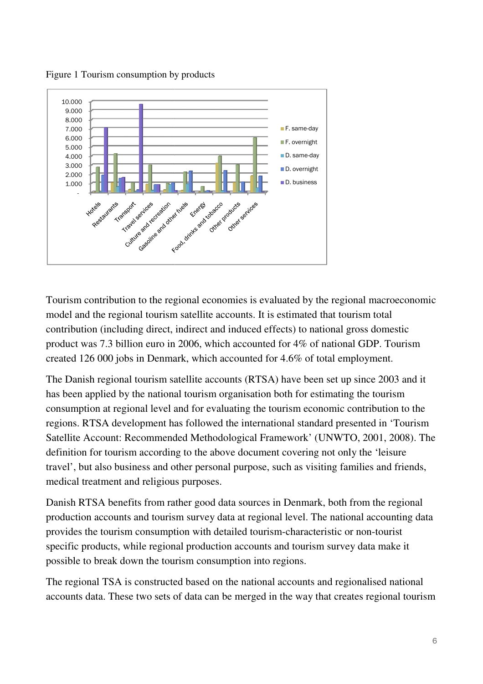



Tourism contribution to the regional economies is evaluated by the regional macroeconomic model and the regional tourism satellite accounts. It is estimated that tourism total contribution (including direct, indirect and induced effects) to national gross domestic product was 7.3 billion euro in 2006, which accounted for 4% of national GDP. Tourism created 126 000 jobs in Denmark, which accounted for 4.6% of total employment. nal economies is evaluated by the regional macroeconomi<br>atellite accounts. It is estimated that tourism total<br>lirect and induced effects) to national gross domestic<br>006, which accounted for 4% of national GDP. Tourism<br>, wh

The Danish regional tourism satellite accounts (RTSA) have been set up since 2003 and it has been applied by the national tourism organisation both for estimating the tourism consumption at regional level and for evaluating the tourism economic contribution to the regions. RTSA development has followed the international standard presented in Satellite Account: Recommended Methodological Framework' (UNWTO, 2001, 2008). The definition for tourism according to the above document covering not only the 'leisure travel', but also business and other personal purpose, such as visiting families and friends, medical treatment and religious purposes. tional tourism organisation both for estimating the tourism<br>wel and for evaluating the tourism economic contribution to the<br>nt has followed the international standard presented in 'Tourism<br>nended Methodological Framework'

Danish RTSA benefits from rather good data sources in Denmark, both from the regional production accounts and tourism survey data at regional level. The national accounting data provides the tourism consumption with detailed tourism-characteristic or non-tourist specific products, while regional production accounts and tourism survey data make it possible to break down the tourism consumption into regions. tment and religious purposes.<br>A benefits from rather good data sources in Denmark, both from<br>accounts and tourism survey data at regional level. The national a<br>tourism consumption with detailed tourism-characteristic or no

The regional TSA is constructed based on the national accounts and regionalised national The regional TSA is constructed based on the national accounts and regionalised national<br>accounts data. These two sets of data can be merged in the way that creates regional tourism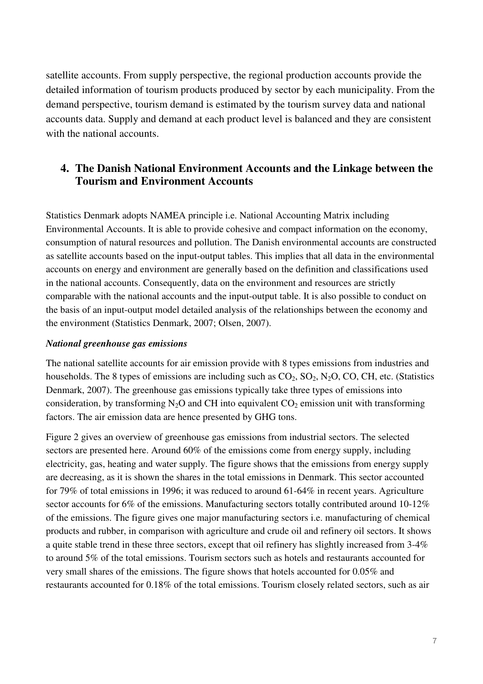satellite accounts. From supply perspective, the regional production accounts provide the detailed information of tourism products produced by sector by each municipality. From the demand perspective, tourism demand is estimated by the tourism survey data and national accounts data. Supply and demand at each product level is balanced and they are consistent with the national accounts.

# **4. The Danish National Environment Accounts and the Linkage between the Tourism and Environment Accounts**

Statistics Denmark adopts NAMEA principle i.e. National Accounting Matrix including Environmental Accounts. It is able to provide cohesive and compact information on the economy, consumption of natural resources and pollution. The Danish environmental accounts are constructed as satellite accounts based on the input-output tables. This implies that all data in the environmental accounts on energy and environment are generally based on the definition and classifications used in the national accounts. Consequently, data on the environment and resources are strictly comparable with the national accounts and the input-output table. It is also possible to conduct on the basis of an input-output model detailed analysis of the relationships between the economy and the environment (Statistics Denmark, 2007; Olsen, 2007).

#### *National greenhouse gas emissions*

The national satellite accounts for air emission provide with 8 types emissions from industries and households. The 8 types of emissions are including such as  $CO_2$ ,  $SO_2$ ,  $N_2O$ ,  $CO$ ,  $CH$ , etc. (Statistics Denmark, 2007). The greenhouse gas emissions typically take three types of emissions into consideration, by transforming  $N_2O$  and CH into equivalent  $CO_2$  emission unit with transforming factors. The air emission data are hence presented by GHG tons.

Figure 2 gives an overview of greenhouse gas emissions from industrial sectors. The selected sectors are presented here. Around 60% of the emissions come from energy supply, including electricity, gas, heating and water supply. The figure shows that the emissions from energy supply are decreasing, as it is shown the shares in the total emissions in Denmark. This sector accounted for 79% of total emissions in 1996; it was reduced to around 61-64% in recent years. Agriculture sector accounts for 6% of the emissions. Manufacturing sectors totally contributed around 10-12% of the emissions. The figure gives one major manufacturing sectors i.e. manufacturing of chemical products and rubber, in comparison with agriculture and crude oil and refinery oil sectors. It shows a quite stable trend in these three sectors, except that oil refinery has slightly increased from 3-4% to around 5% of the total emissions. Tourism sectors such as hotels and restaurants accounted for very small shares of the emissions. The figure shows that hotels accounted for 0.05% and restaurants accounted for 0.18% of the total emissions. Tourism closely related sectors, such as air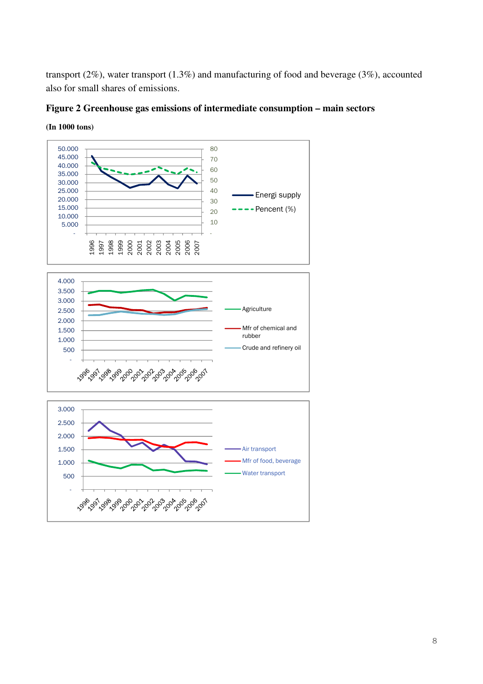transport (2%), water transport (1.3%) and manufacturing of food and beverage (3%), accounted also for small shares of emissions.

#### **Figure 2 Greenhouse gas emissions of intermediate consumption – main sectors**



#### **(In 1000 tons)**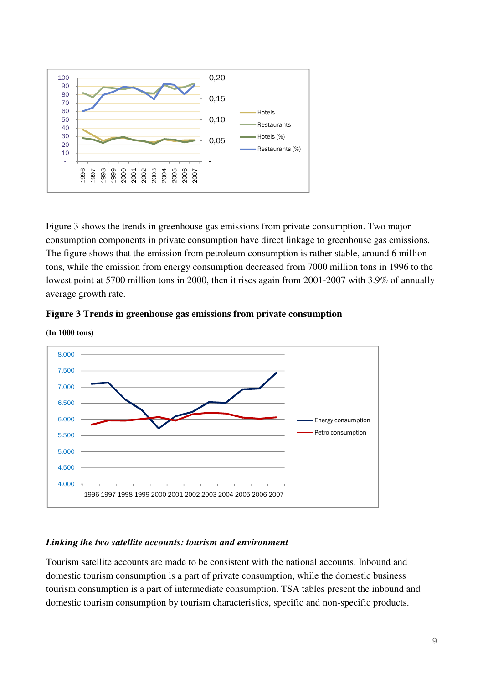

Figure 3 shows the trends in greenhouse gas emissions from private consumption. Two major consumption components in private consumption have direct linkage to greenhouse gas emissions. The figure shows that the emission from petroleum consumption is rather stable, around 6 million tons, while the emission from energy consumption decreased from 7000 million tons in 1996 to the lowest point at 5700 million tons in 2000, then it rises again from 2001-2007 with 3.9% of annually average growth rate.





**(In 1000 tons)** 

# *Linking the two satellite accounts: tourism and environment*

Tourism satellite accounts are made to be consistent with the national accounts. Inbound and domestic tourism consumption is a part of private consumption, while the domestic business tourism consumption is a part of intermediate consumption. TSA tables present the inbound and domestic tourism consumption by tourism characteristics, specific and non-specific products.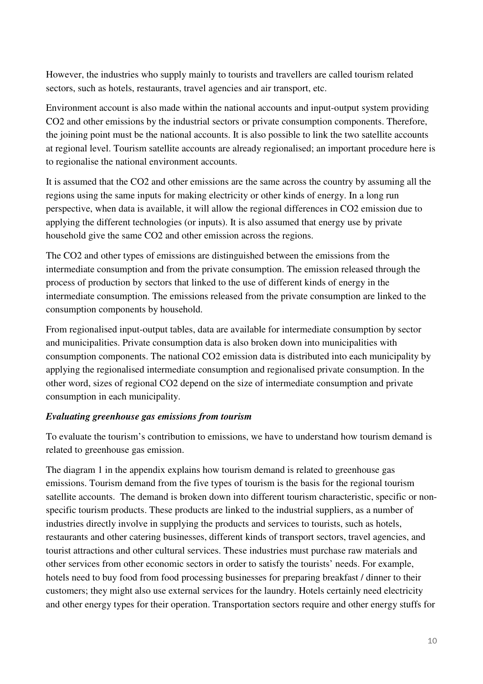However, the industries who supply mainly to tourists and travellers are called tourism related sectors, such as hotels, restaurants, travel agencies and air transport, etc.

Environment account is also made within the national accounts and input-output system providing CO2 and other emissions by the industrial sectors or private consumption components. Therefore, the joining point must be the national accounts. It is also possible to link the two satellite accounts at regional level. Tourism satellite accounts are already regionalised; an important procedure here is to regionalise the national environment accounts.

It is assumed that the CO2 and other emissions are the same across the country by assuming all the regions using the same inputs for making electricity or other kinds of energy. In a long run perspective, when data is available, it will allow the regional differences in CO2 emission due to applying the different technologies (or inputs). It is also assumed that energy use by private household give the same CO2 and other emission across the regions.

The CO2 and other types of emissions are distinguished between the emissions from the intermediate consumption and from the private consumption. The emission released through the process of production by sectors that linked to the use of different kinds of energy in the intermediate consumption. The emissions released from the private consumption are linked to the consumption components by household.

From regionalised input-output tables, data are available for intermediate consumption by sector and municipalities. Private consumption data is also broken down into municipalities with consumption components. The national CO2 emission data is distributed into each municipality by applying the regionalised intermediate consumption and regionalised private consumption. In the other word, sizes of regional CO2 depend on the size of intermediate consumption and private consumption in each municipality.

### *Evaluating greenhouse gas emissions from tourism*

To evaluate the tourism's contribution to emissions, we have to understand how tourism demand is related to greenhouse gas emission.

The diagram 1 in the appendix explains how tourism demand is related to greenhouse gas emissions. Tourism demand from the five types of tourism is the basis for the regional tourism satellite accounts. The demand is broken down into different tourism characteristic, specific or nonspecific tourism products. These products are linked to the industrial suppliers, as a number of industries directly involve in supplying the products and services to tourists, such as hotels, restaurants and other catering businesses, different kinds of transport sectors, travel agencies, and tourist attractions and other cultural services. These industries must purchase raw materials and other services from other economic sectors in order to satisfy the tourists' needs. For example, hotels need to buy food from food processing businesses for preparing breakfast / dinner to their customers; they might also use external services for the laundry. Hotels certainly need electricity and other energy types for their operation. Transportation sectors require and other energy stuffs for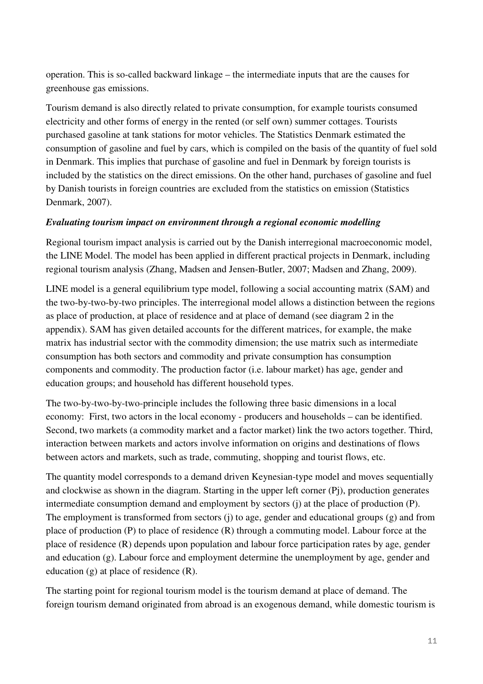operation. This is so-called backward linkage – the intermediate inputs that are the causes for greenhouse gas emissions.

Tourism demand is also directly related to private consumption, for example tourists consumed electricity and other forms of energy in the rented (or self own) summer cottages. Tourists purchased gasoline at tank stations for motor vehicles. The Statistics Denmark estimated the consumption of gasoline and fuel by cars, which is compiled on the basis of the quantity of fuel sold in Denmark. This implies that purchase of gasoline and fuel in Denmark by foreign tourists is included by the statistics on the direct emissions. On the other hand, purchases of gasoline and fuel by Danish tourists in foreign countries are excluded from the statistics on emission (Statistics Denmark, 2007).

### *Evaluating tourism impact on environment through a regional economic modelling*

Regional tourism impact analysis is carried out by the Danish interregional macroeconomic model, the LINE Model. The model has been applied in different practical projects in Denmark, including regional tourism analysis (Zhang, Madsen and Jensen-Butler, 2007; Madsen and Zhang, 2009).

LINE model is a general equilibrium type model, following a social accounting matrix (SAM) and the two-by-two-by-two principles. The interregional model allows a distinction between the regions as place of production, at place of residence and at place of demand (see diagram 2 in the appendix). SAM has given detailed accounts for the different matrices, for example, the make matrix has industrial sector with the commodity dimension; the use matrix such as intermediate consumption has both sectors and commodity and private consumption has consumption components and commodity. The production factor (i.e. labour market) has age, gender and education groups; and household has different household types.

The two-by-two-by-two-principle includes the following three basic dimensions in a local economy: First, two actors in the local economy - producers and households – can be identified. Second, two markets (a commodity market and a factor market) link the two actors together. Third, interaction between markets and actors involve information on origins and destinations of flows between actors and markets, such as trade, commuting, shopping and tourist flows, etc.

The quantity model corresponds to a demand driven Keynesian-type model and moves sequentially and clockwise as shown in the diagram. Starting in the upper left corner (Pj), production generates intermediate consumption demand and employment by sectors (j) at the place of production (P). The employment is transformed from sectors (j) to age, gender and educational groups (g) and from place of production (P) to place of residence (R) through a commuting model. Labour force at the place of residence (R) depends upon population and labour force participation rates by age, gender and education (g). Labour force and employment determine the unemployment by age, gender and education (g) at place of residence (R).

The starting point for regional tourism model is the tourism demand at place of demand. The foreign tourism demand originated from abroad is an exogenous demand, while domestic tourism is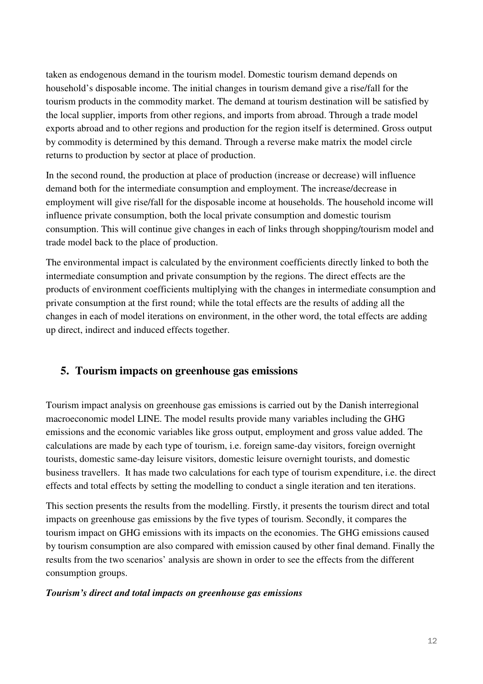taken as endogenous demand in the tourism model. Domestic tourism demand depends on household's disposable income. The initial changes in tourism demand give a rise/fall for the tourism products in the commodity market. The demand at tourism destination will be satisfied by the local supplier, imports from other regions, and imports from abroad. Through a trade model exports abroad and to other regions and production for the region itself is determined. Gross output by commodity is determined by this demand. Through a reverse make matrix the model circle returns to production by sector at place of production.

In the second round, the production at place of production (increase or decrease) will influence demand both for the intermediate consumption and employment. The increase/decrease in employment will give rise/fall for the disposable income at households. The household income will influence private consumption, both the local private consumption and domestic tourism consumption. This will continue give changes in each of links through shopping/tourism model and trade model back to the place of production.

The environmental impact is calculated by the environment coefficients directly linked to both the intermediate consumption and private consumption by the regions. The direct effects are the products of environment coefficients multiplying with the changes in intermediate consumption and private consumption at the first round; while the total effects are the results of adding all the changes in each of model iterations on environment, in the other word, the total effects are adding up direct, indirect and induced effects together.

# **5. Tourism impacts on greenhouse gas emissions**

Tourism impact analysis on greenhouse gas emissions is carried out by the Danish interregional macroeconomic model LINE. The model results provide many variables including the GHG emissions and the economic variables like gross output, employment and gross value added. The calculations are made by each type of tourism, i.e. foreign same-day visitors, foreign overnight tourists, domestic same-day leisure visitors, domestic leisure overnight tourists, and domestic business travellers. It has made two calculations for each type of tourism expenditure, i.e. the direct effects and total effects by setting the modelling to conduct a single iteration and ten iterations.

This section presents the results from the modelling. Firstly, it presents the tourism direct and total impacts on greenhouse gas emissions by the five types of tourism. Secondly, it compares the tourism impact on GHG emissions with its impacts on the economies. The GHG emissions caused by tourism consumption are also compared with emission caused by other final demand. Finally the results from the two scenarios' analysis are shown in order to see the effects from the different consumption groups.

### *Tourism's direct and total impacts on greenhouse gas emissions*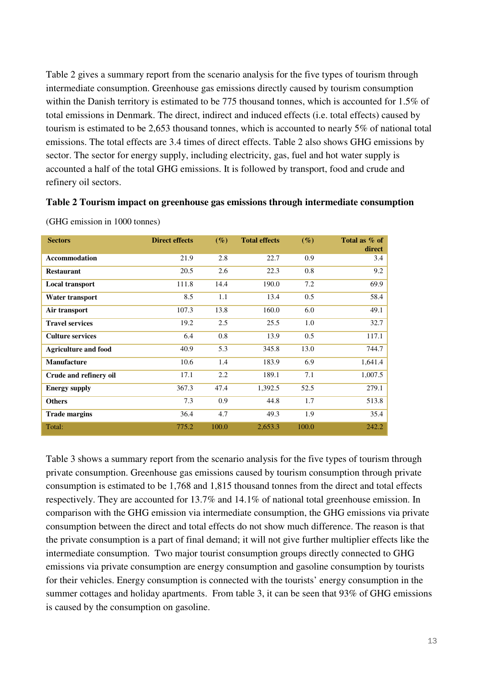Table 2 gives a summary report from the scenario analysis for the five types of tourism through intermediate consumption. Greenhouse gas emissions directly caused by tourism consumption within the Danish territory is estimated to be 775 thousand tonnes, which is accounted for 1.5% of total emissions in Denmark. The direct, indirect and induced effects (i.e. total effects) caused by tourism is estimated to be 2,653 thousand tonnes, which is accounted to nearly 5% of national total emissions. The total effects are 3.4 times of direct effects. Table 2 also shows GHG emissions by sector. The sector for energy supply, including electricity, gas, fuel and hot water supply is accounted a half of the total GHG emissions. It is followed by transport, food and crude and refinery oil sectors.

#### **Table 2 Tourism impact on greenhouse gas emissions through intermediate consumption**

| <b>Sectors</b>              | <b>Direct effects</b> | $(\%)$ | <b>Total effects</b> | $(\%)$ | Total as % of<br>direct |
|-----------------------------|-----------------------|--------|----------------------|--------|-------------------------|
| <b>Accommodation</b>        | 21.9                  | 2.8    | 22.7                 | 0.9    | 3.4                     |
| <b>Restaurant</b>           | 20.5                  | 2.6    | 22.3                 | 0.8    | 9.2                     |
| Local transport             | 111.8                 | 14.4   | 190.0                | 7.2    | 69.9                    |
| Water transport             | 8.5                   | 1.1    | 13.4                 | 0.5    | 58.4                    |
| Air transport               | 107.3                 | 13.8   | 160.0                | 6.0    | 49.1                    |
| <b>Travel services</b>      | 19.2                  | 2.5    | 25.5                 | 1.0    | 32.7                    |
| <b>Culture services</b>     | 6.4                   | 0.8    | 13.9                 | 0.5    | 117.1                   |
| <b>Agriculture and food</b> | 40.9                  | 5.3    | 345.8                | 13.0   | 744.7                   |
| <b>Manufacture</b>          | 10.6                  | 1.4    | 183.9                | 6.9    | 1,641.4                 |
| Crude and refinery oil      | 17.1                  | 2.2    | 189.1                | 7.1    | 1,007.5                 |
| <b>Energy supply</b>        | 367.3                 | 47.4   | 1,392.5              | 52.5   | 279.1                   |
| <b>Others</b>               | 7.3                   | 0.9    | 44.8                 | 1.7    | 513.8                   |
| <b>Trade margins</b>        | 36.4                  | 4.7    | 49.3                 | 1.9    | 35.4                    |
| Total:                      | 775.2                 | 100.0  | 2,653.3              | 100.0  | 242.2                   |

(GHG emission in 1000 tonnes)

Table 3 shows a summary report from the scenario analysis for the five types of tourism through private consumption. Greenhouse gas emissions caused by tourism consumption through private consumption is estimated to be 1,768 and 1,815 thousand tonnes from the direct and total effects respectively. They are accounted for 13.7% and 14.1% of national total greenhouse emission. In comparison with the GHG emission via intermediate consumption, the GHG emissions via private consumption between the direct and total effects do not show much difference. The reason is that the private consumption is a part of final demand; it will not give further multiplier effects like the intermediate consumption. Two major tourist consumption groups directly connected to GHG emissions via private consumption are energy consumption and gasoline consumption by tourists for their vehicles. Energy consumption is connected with the tourists' energy consumption in the summer cottages and holiday apartments. From table 3, it can be seen that 93% of GHG emissions is caused by the consumption on gasoline.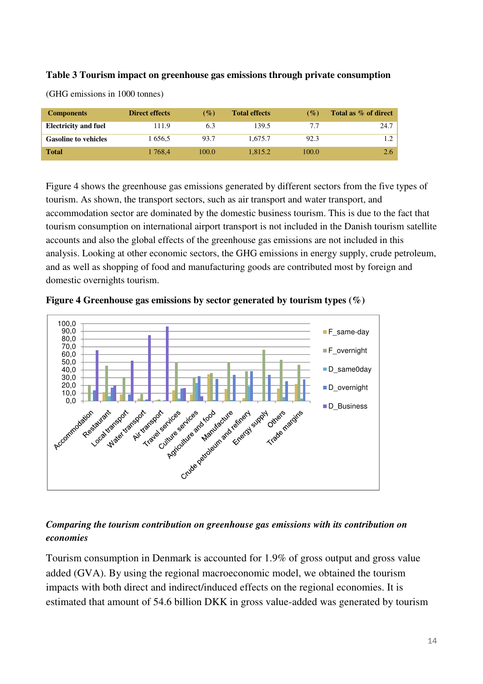### **Table 3 Tourism impact on greenhouse gas emissions through private consumption**

| <b>Components</b>           | <b>Direct effects</b> | $\mathcal{O}_\mathcal{O}$ | <b>Total effects</b> | $\mathscr{G}_o$ | Total as % of direct |
|-----------------------------|-----------------------|---------------------------|----------------------|-----------------|----------------------|
| <b>Electricity and fuel</b> | 111.9                 | 6.3                       | 139.5                | 7.7             | 24.7                 |
| <b>Gasoline to vehicles</b> | 1 656.5               | 93.7                      | 1.675.7              | 92.3            | 1.2                  |
| <b>Total</b>                | 1 768.4               | 100.0                     | 1.815.2              | 100.0           | 2.6                  |

(GHG emissions in 1000 tonnes)

Figure 4 shows the greenhouse gas emissions generated by different sectors from the five types of tourism. As shown, the transport sectors, such as air transport and water transport, and accommodation sector are dominated by the domestic business tourism. This is due to the fact that tourism consumption on international airport transport is not included in the Danish tourism satellite accounts and also the global effects of the greenhouse gas emissions are not included in this analysis. Looking at other economic sectors, the GHG emissions in energy supply, crude petroleum, and as well as shopping of food and manufacturing goods are contributed most by foreign and domestic overnights tourism.





# *Comparing the tourism contribution on greenhouse gas emissions with its contribution on economies*

Tourism consumption in Denmark is accounted for 1.9% of gross output and gross value added (GVA). By using the regional macroeconomic model, we obtained the tourism impacts with both direct and indirect/induced effects on the regional economies. It is estimated that amount of 54.6 billion DKK in gross value-added was generated by tourism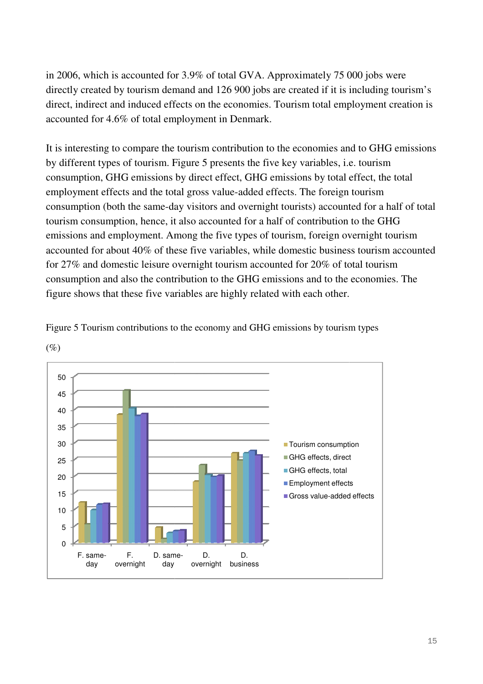in 2006, which is accounted for 3.9% of total GVA. Approximately 75 000 jobs were directly created by tourism demand and 126 900 jobs are created if it is including tourism's direct, indirect and induced effects on the economies. Tourism total employment creation is accounted for 4.6% of total employment in Denmark.

It is interesting to compare the tourism contribution to the economies and to GHG emissions by different types of tourism. Figure 5 presents the five key variables, i.e. tourism consumption, GHG emissions by direct effect, GHG emissions by total effect, the total employment effects and the total gross value-added effects. The foreign tourism consumption (both the same-day visitors and overnight tourists) account tourism consumption, hence, it also accounted for a half of contribution to the GHG emissions and employment. Among the five types of tourism, foreign overnight tourism consumption (both the same-day visitors and overnight tourists) accounted for a half of total<br>tourism consumption, hence, it also accounted for a half of contribution to the GHG<br>emissions and employment. Among the five typ for 27% and domestic leisure overnight tourism accounted for 20% of total tourism consumption and also the contribution to the GHG emissions and to the economies. The figure shows that these five variables are highly related with each other. nomies. Tourism total employment creation is<br>enmark.<br>bution to the economies and to GHG emissions<br>ts the five key variables, i.e. tourism<br>i, GHG emissions by total effect, the total<br>added effects. The foreign tourism<br>overn



Figure 5 Tourism contributions to the economy and GHG emissions by tourism types

(%)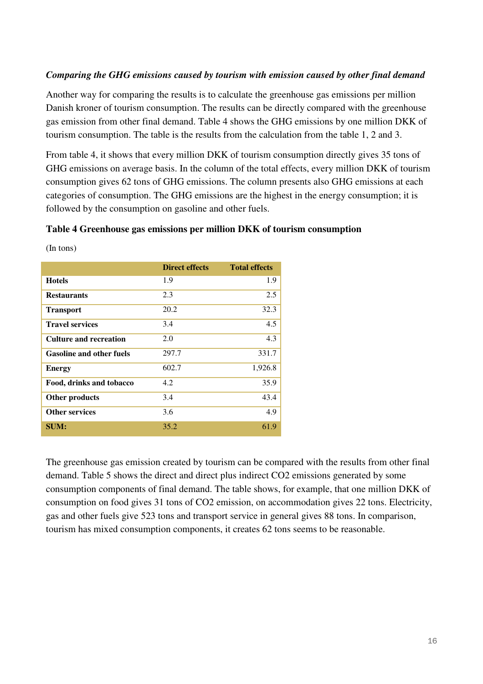### *Comparing the GHG emissions caused by tourism with emission caused by other final demand*

Another way for comparing the results is to calculate the greenhouse gas emissions per million Danish kroner of tourism consumption. The results can be directly compared with the greenhouse gas emission from other final demand. Table 4 shows the GHG emissions by one million DKK of tourism consumption. The table is the results from the calculation from the table 1, 2 and 3.

From table 4, it shows that every million DKK of tourism consumption directly gives 35 tons of GHG emissions on average basis. In the column of the total effects, every million DKK of tourism consumption gives 62 tons of GHG emissions. The column presents also GHG emissions at each categories of consumption. The GHG emissions are the highest in the energy consumption; it is followed by the consumption on gasoline and other fuels.

#### **Table 4 Greenhouse gas emissions per million DKK of tourism consumption**

|                                 | <b>Direct effects</b> | <b>Total effects</b> |
|---------------------------------|-----------------------|----------------------|
| <b>Hotels</b>                   | 1.9                   | 1.9                  |
| <b>Restaurants</b>              | 2.3                   | 2.5                  |
| <b>Transport</b>                | 20.2                  | 32.3                 |
| <b>Travel services</b>          | 3.4                   | 4.5                  |
| <b>Culture and recreation</b>   | 2.0                   | 4.3                  |
| <b>Gasoline and other fuels</b> | 297.7                 | 331.7                |
| <b>Energy</b>                   | 602.7                 | 1,926.8              |
| Food, drinks and tobacco        | 4.2                   | 35.9                 |
| <b>Other products</b>           | 3.4                   | 43.4                 |
| <b>Other services</b>           | 3.6                   | 4.9                  |
| <b>SUM:</b>                     | 35.2                  | 61.9                 |

(In tons)

The greenhouse gas emission created by tourism can be compared with the results from other final demand. Table 5 shows the direct and direct plus indirect CO2 emissions generated by some consumption components of final demand. The table shows, for example, that one million DKK of consumption on food gives 31 tons of CO2 emission, on accommodation gives 22 tons. Electricity, gas and other fuels give 523 tons and transport service in general gives 88 tons. In comparison, tourism has mixed consumption components, it creates 62 tons seems to be reasonable.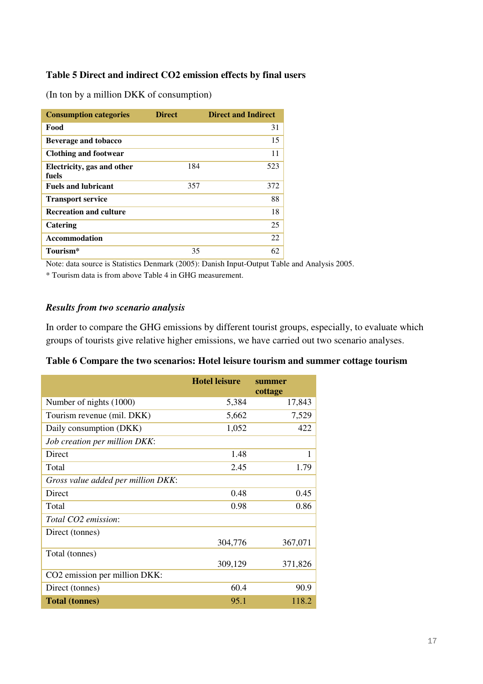### **Table 5 Direct and indirect CO2 emission effects by final users**

(In ton by a million DKK of consumption)

| <b>Consumption categories</b>       | <b>Direct</b> | <b>Direct and Indirect</b> |
|-------------------------------------|---------------|----------------------------|
| Food                                |               | 31                         |
| Beverage and tobacco                |               | 15                         |
| <b>Clothing and footwear</b>        |               | 11                         |
| Electricity, gas and other<br>fuels | 184           | 523                        |
| <b>Fuels and lubricant</b>          | 357           | 372                        |
| <b>Transport service</b>            |               | 88                         |
| <b>Recreation and culture</b>       |               | 18                         |
| Catering                            |               | 25                         |
| <b>Accommodation</b>                |               | 22                         |
| Tourism*                            | 35            | 62                         |

Note: data source is Statistics Denmark (2005): Danish Input-Output Table and Analysis 2005.

\* Tourism data is from above Table 4 in GHG measurement.

### *Results from two scenario analysis*

In order to compare the GHG emissions by different tourist groups, especially, to evaluate which groups of tourists give relative higher emissions, we have carried out two scenario analyses.

|  | Table 6 Compare the two scenarios: Hotel leisure tourism and summer cottage tourism |  |  |  |  |
|--|-------------------------------------------------------------------------------------|--|--|--|--|
|  |                                                                                     |  |  |  |  |

|                                    | <b>Hotel leisure</b> | summer<br>cottage |
|------------------------------------|----------------------|-------------------|
| Number of nights (1000)            | 5,384                | 17,843            |
| Tourism revenue (mil. DKK)         | 5,662                | 7,529             |
| Daily consumption (DKK)            | 1,052                | 422               |
| Job creation per million DKK:      |                      |                   |
| Direct                             | 1.48                 | 1                 |
| Total                              | 2.45                 | 1.79              |
| Gross value added per million DKK: |                      |                   |
| Direct                             | 0.48                 | 0.45              |
| Total                              | 0.98                 | 0.86              |
| Total CO2 emission:                |                      |                   |
| Direct (tonnes)                    |                      |                   |
|                                    | 304,776              | 367,071           |
| Total (tonnes)                     |                      |                   |
|                                    | 309,129              | 371,826           |
| CO2 emission per million DKK:      |                      |                   |
| Direct (tonnes)                    | 60.4                 | 90.9              |
| <b>Total (tonnes)</b>              | 95.1                 | 118.2             |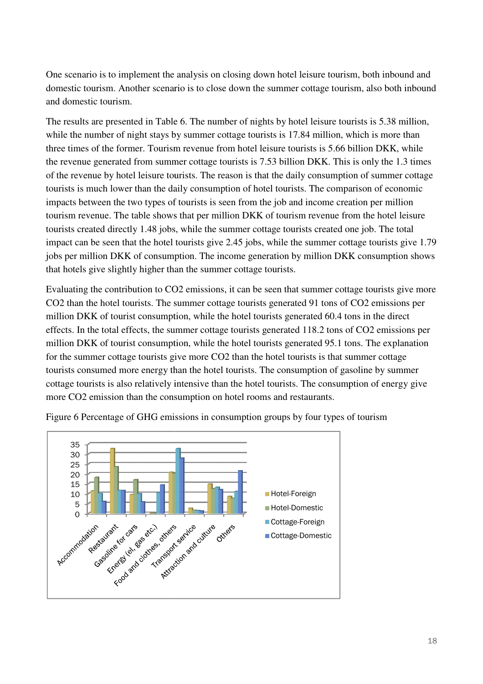One scenario is to implement the analysis on closing down hotel leisure tourism, both inbound and domestic tourism. Another scenario is to close down the summer cottage tourism, also both inbound and domestic tourism. cenario is to implement the analysis on closing down hotel leisure tourism, both inbound and<br>stic tourism. Another scenario is to close down the summer cottage tourism, also both inboun<br>omestic tourism.<br>esults are presente

The results are presented in Table 6. The number of nights by hotel leisure tourists is 5.38 million, while the number of night stays by summer cottage tourists is 17.84 million, which is more than three times of the former. Tourism revenue from hotel leisure tourists is 5.66 billion DKK, while the revenue generated from summer cottage tourists is 7.53 billion DKK. This is only the 1.3 times of the revenue by hotel leisure tourists. The reason is that the daily consumption of summer cottage tourists is much lower than the daily consumption of hotel tourists. The comparison of economic impacts between the two types of tourists is seen from the job and income creation per million tourism revenue. The table shows that per million DKK of tourism revenue from the hotel le tourists created directly 1.48 jobs, while the summer cottage tourists created one job. The total impact can be seen that the hotel tourists give 2.45 jobs, while the summer cottage tourists give 1.79 jobs per million DKK of consumption. The income generation by million DKK consumption shows that hotels give slightly higher than the summer cottage tourists. enue from hotel leisure tourists is 5.66 billion DKK, while<br>ottage tourists is 7.53 billion DKK. This is only the 1.3 time<br>. The reason is that the daily consumption of summer cottag<br>onsumption of hotel tourists. The compa

Evaluating the contribution to CO2 emissions, it can be seen that summer cottage tourists give more CO2 than the hotel tourists. The summer cottage tourists generated 91 tons of CO2 emissions per million DKK of tourist consumption, while the hotel tourists generated 60.4 tons in the direct effects. In the total effects, the summer cottage tourists generated 118.2 tons of CO2 emissions per million DKK of tourist consumption, while the hotel tourists generated 95.1 tons. The explanation for the summer cottage tourists give more CO2 than the hotel tourists is that summer cottage million DKK of tourist consumption, while the hotel tourists generated 95.1 tons. The explanation<br>for the summer cottage tourists give more CO2 than the hotel tourists is that summer cottage<br>tourists consumed more energy t cottage tourists is also relatively intensive than the hotel tourists. The consumption of energy give more CO2 emission than the consumption on hotel rooms and restaurants. come generation by millionting the contage tourists.<br>it can be seen that summ<br>ge tourists generated 91 t<br>e hotel tourists generated 118.2<br>e hotel tourists generated<br>2 than the hotel tourists is<br>tourists. The consumption<br>i



Figure 6 Percentage of GHG emissions in consumption groups by four types of tourism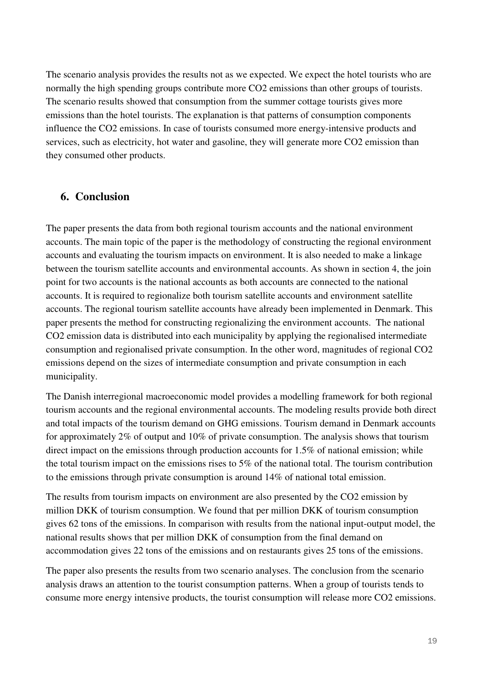The scenario analysis provides the results not as we expected. We expect the hotel tourists who are normally the high spending groups contribute more CO2 emissions than other groups of tourists. The scenario results showed that consumption from the summer cottage tourists gives more emissions than the hotel tourists. The explanation is that patterns of consumption components influence the CO2 emissions. In case of tourists consumed more energy-intensive products and services, such as electricity, hot water and gasoline, they will generate more CO2 emission than they consumed other products.

# **6. Conclusion**

The paper presents the data from both regional tourism accounts and the national environment accounts. The main topic of the paper is the methodology of constructing the regional environment accounts and evaluating the tourism impacts on environment. It is also needed to make a linkage between the tourism satellite accounts and environmental accounts. As shown in section 4, the join point for two accounts is the national accounts as both accounts are connected to the national accounts. It is required to regionalize both tourism satellite accounts and environment satellite accounts. The regional tourism satellite accounts have already been implemented in Denmark. This paper presents the method for constructing regionalizing the environment accounts. The national CO2 emission data is distributed into each municipality by applying the regionalised intermediate consumption and regionalised private consumption. In the other word, magnitudes of regional CO2 emissions depend on the sizes of intermediate consumption and private consumption in each municipality.

The Danish interregional macroeconomic model provides a modelling framework for both regional tourism accounts and the regional environmental accounts. The modeling results provide both direct and total impacts of the tourism demand on GHG emissions. Tourism demand in Denmark accounts for approximately 2% of output and 10% of private consumption. The analysis shows that tourism direct impact on the emissions through production accounts for 1.5% of national emission; while the total tourism impact on the emissions rises to 5% of the national total. The tourism contribution to the emissions through private consumption is around 14% of national total emission.

The results from tourism impacts on environment are also presented by the CO2 emission by million DKK of tourism consumption. We found that per million DKK of tourism consumption gives 62 tons of the emissions. In comparison with results from the national input-output model, the national results shows that per million DKK of consumption from the final demand on accommodation gives 22 tons of the emissions and on restaurants gives 25 tons of the emissions.

The paper also presents the results from two scenario analyses. The conclusion from the scenario analysis draws an attention to the tourist consumption patterns. When a group of tourists tends to consume more energy intensive products, the tourist consumption will release more CO2 emissions.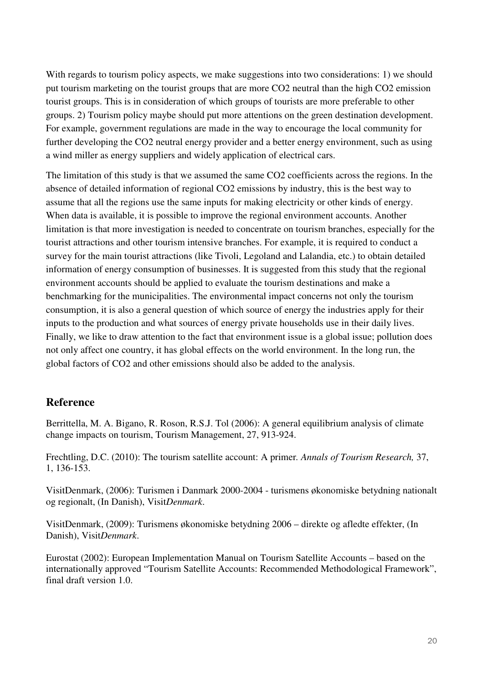With regards to tourism policy aspects, we make suggestions into two considerations: 1) we should put tourism marketing on the tourist groups that are more CO2 neutral than the high CO2 emission tourist groups. This is in consideration of which groups of tourists are more preferable to other groups. 2) Tourism policy maybe should put more attentions on the green destination development. For example, government regulations are made in the way to encourage the local community for further developing the CO2 neutral energy provider and a better energy environment, such as using a wind miller as energy suppliers and widely application of electrical cars.

The limitation of this study is that we assumed the same CO2 coefficients across the regions. In the absence of detailed information of regional CO2 emissions by industry, this is the best way to assume that all the regions use the same inputs for making electricity or other kinds of energy. When data is available, it is possible to improve the regional environment accounts. Another limitation is that more investigation is needed to concentrate on tourism branches, especially for the tourist attractions and other tourism intensive branches. For example, it is required to conduct a survey for the main tourist attractions (like Tivoli, Legoland and Lalandia, etc.) to obtain detailed information of energy consumption of businesses. It is suggested from this study that the regional environment accounts should be applied to evaluate the tourism destinations and make a benchmarking for the municipalities. The environmental impact concerns not only the tourism consumption, it is also a general question of which source of energy the industries apply for their inputs to the production and what sources of energy private households use in their daily lives. Finally, we like to draw attention to the fact that environment issue is a global issue; pollution does not only affect one country, it has global effects on the world environment. In the long run, the global factors of CO2 and other emissions should also be added to the analysis.

# **Reference**

Berrittella, M. A. Bigano, R. Roson, R.S.J. Tol (2006): A general equilibrium analysis of climate change impacts on tourism, Tourism Management, 27, 913-924.

Frechtling, D.C. (2010): The tourism satellite account: A primer*. Annals of Tourism Research,* 37, 1, 136-153.

VisitDenmark, (2006): Turismen i Danmark 2000-2004 - turismens økonomiske betydning nationalt og regionalt, (In Danish), Visit*Denmark*.

VisitDenmark, (2009): Turismens økonomiske betydning 2006 – direkte og afledte effekter, (In Danish), Visit*Denmark*.

Eurostat (2002): European Implementation Manual on Tourism Satellite Accounts – based on the internationally approved "Tourism Satellite Accounts: Recommended Methodological Framework", final draft version 1.0.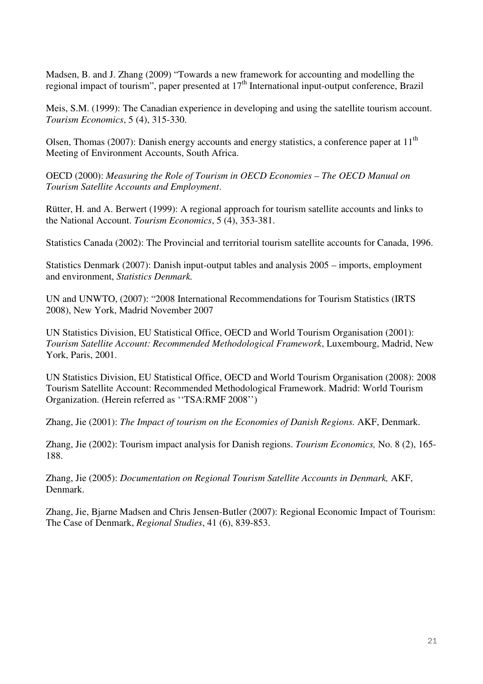Madsen, B. and J. Zhang (2009) "Towards a new framework for accounting and modelling the regional impact of tourism", paper presented at  $17<sup>th</sup>$  International input-output conference, Brazil

Meis, S.M. (1999): The Canadian experience in developing and using the satellite tourism account. *Tourism Economics*, 5 (4), 315-330.

Olsen, Thomas (2007): Danish energy accounts and energy statistics, a conference paper at  $11<sup>th</sup>$ Meeting of Environment Accounts, South Africa.

OECD (2000): *Measuring the Role of Tourism in OECD Economies – The OECD Manual on Tourism Satellite Accounts and Employment*.

Rütter, H. and A. Berwert (1999): A regional approach for tourism satellite accounts and links to the National Account. *Tourism Economics*, 5 (4), 353-381.

Statistics Canada (2002): The Provincial and territorial tourism satellite accounts for Canada, 1996.

Statistics Denmark (2007): Danish input-output tables and analysis 2005 – imports, employment and environment, *Statistics Denmark.*

UN and UNWTO, (2007): "2008 International Recommendations for Tourism Statistics (IRTS 2008), New York, Madrid November 2007

UN Statistics Division, EU Statistical Office, OECD and World Tourism Organisation (2001): *Tourism Satellite Account: Recommended Methodological Framework*, Luxembourg, Madrid, New York, Paris, 2001.

UN Statistics Division, EU Statistical Office, OECD and World Tourism Organisation (2008): 2008 Tourism Satellite Account: Recommended Methodological Framework. Madrid: World Tourism Organization. (Herein referred as ''TSA:RMF 2008'')

Zhang, Jie (2001): *The Impact of tourism on the Economies of Danish Regions.* AKF, Denmark.

Zhang, Jie (2002): Tourism impact analysis for Danish regions. *Tourism Economics,* No. 8 (2), 165- 188.

Zhang, Jie (2005): *Documentation on Regional Tourism Satellite Accounts in Denmark,* AKF, Denmark.

Zhang, Jie, Bjarne Madsen and Chris Jensen-Butler (2007): Regional Economic Impact of Tourism: The Case of Denmark, *Regional Studies*, 41 (6), 839-853.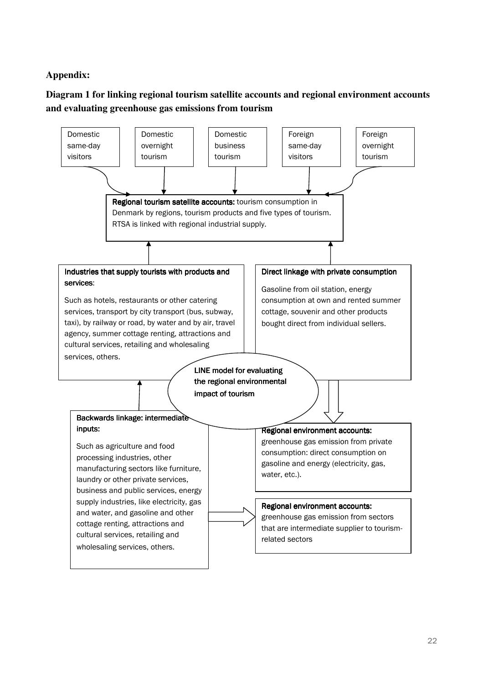# **Appendix:**

# **Diagram 1 for linking regional tourism satellite accounts and regional environment accounts and evaluating greenhouse gas emissions from tourism**